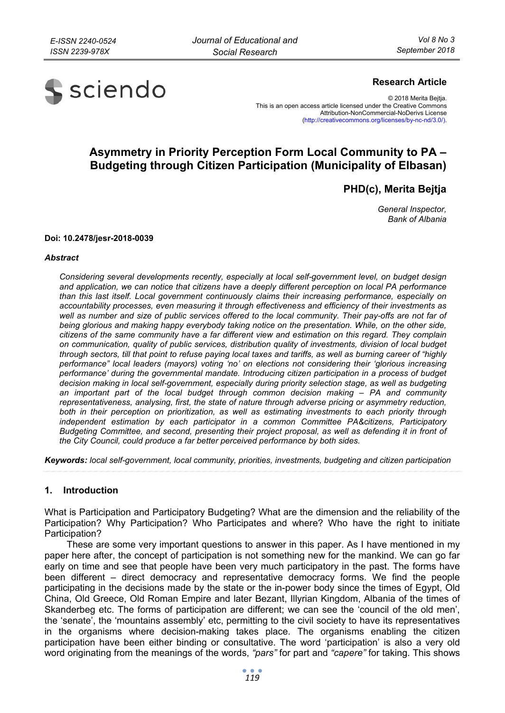

## **Research Article**

© 2018 Merita Bejtja. This is an open access article licensed under the Creative Commons Attribution-NonCommercial-NoDerivs License (http://creativecommons.org/licenses/by-nc-nd/3.0/).

# **Asymmetry in Priority Perception Form Local Community to PA – Budgeting through Citizen Participation (Municipality of Elbasan)**

**PHD(c), Merita Bejtja** 

*General Inspector, Bank of Albania* 

#### **Doi: 10.2478/jesr-2018-0039**

#### *Abstract*

*Considering several developments recently, especially at local self-government level, on budget design and application, we can notice that citizens have a deeply different perception on local PA performance than this last itself. Local government continuously claims their increasing performance, especially on accountability processes, even measuring it through effectiveness and efficiency of their investments as well as number and size of public services offered to the local community. Their pay-offs are not far of being glorious and making happy everybody taking notice on the presentation. While, on the other side, citizens of the same community have a far different view and estimation on this regard. They complain on communication, quality of public services, distribution quality of investments, division of local budget through sectors, till that point to refuse paying local taxes and tariffs, as well as burning career of "highly performance" local leaders (mayors) voting 'no' on elections not considering their 'glorious increasing performance' during the governmental mandate. Introducing citizen participation in a process of budget decision making in local self-government, especially during priority selection stage, as well as budgeting an important part of the local budget through common decision making – PA and community representativeness, analysing, first, the state of nature through adverse pricing or asymmetry reduction, both in their perception on prioritization, as well as estimating investments to each priority through independent estimation by each participator in a common Committee PA&citizens, Participatory Budgeting Committee, and second, presenting their project proposal, as well as defending it in front of the City Council, could produce a far better perceived performance by both sides.* 

*Keywords: local self-government, local community, priorities, investments, budgeting and citizen participation* 

#### **1. Introduction**

What is Participation and Participatory Budgeting? What are the dimension and the reliability of the Participation? Why Participation? Who Participates and where? Who have the right to initiate Participation?

These are some very important questions to answer in this paper. As I have mentioned in my paper here after, the concept of participation is not something new for the mankind. We can go far early on time and see that people have been very much participatory in the past. The forms have been different – direct democracy and representative democracy forms. We find the people participating in the decisions made by the state or the in-power body since the times of Egypt, Old China, Old Greece, Old Roman Empire and later Bezant, Illyrian Kingdom, Albania of the times of Skanderbeg etc. The forms of participation are different; we can see the 'council of the old men', the 'senate', the 'mountains assembly' etc, permitting to the civil society to have its representatives in the organisms where decision-making takes place. The organisms enabling the citizen participation have been either binding or consultative. The word 'participation' is also a very old word originating from the meanings of the words, *"pars"* for part and *"capere"* for taking. This shows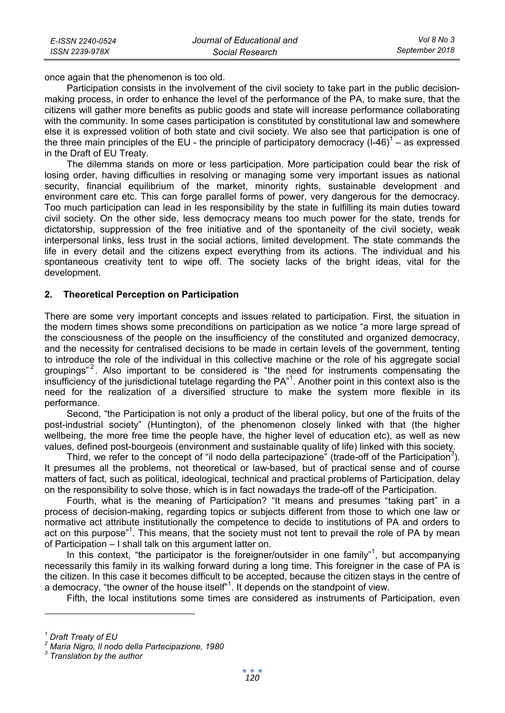once again that the phenomenon is too old.

Participation consists in the involvement of the civil society to take part in the public decisionmaking process, in order to enhance the level of the performance of the PA, to make sure, that the citizens will gather more benefits as public goods and state will increase performance collaborating with the community. In some cases participation is constituted by constitutional law and somewhere else it is expressed volition of both state and civil society. We also see that participation is one of the three main principles of the EU - the principle of participatory democracy  $($ l-46 $)^1$  – as expressed in the Draft of EU Treaty.

The dilemma stands on more or less participation. More participation could bear the risk of losing order, having difficulties in resolving or managing some very important issues as national security, financial equilibrium of the market, minority rights, sustainable development and environment care etc. This can forge parallel forms of power, very dangerous for the democracy. Too much participation can lead in les responsibility by the state in fulfilling its main duties toward civil society. On the other side, less democracy means too much power for the state, trends for dictatorship, suppression of the free initiative and of the spontaneity of the civil society, weak interpersonal links, less trust in the social actions, limited development. The state commands the life in every detail and the citizens expect everything from its actions. The individual and his spontaneous creativity tent to wipe off. The society lacks of the bright ideas, vital for the development.

### **2. Theoretical Perception on Participation**

There are some very important concepts and issues related to participation. First, the situation in the modern times shows some preconditions on participation as we notice "a more large spread of the consciousness of the people on the insufficiency of the constituted and organized democracy, and the necessity for centralised decisions to be made in certain levels of the government, tenting to introduce the role of the individual in this collective machine or the role of his aggregate social groupings"<sup>2</sup>. Also important to be considered is "the need for instruments compensating the insufficiency of the jurisdictional tutelage regarding the PA"<sup>1</sup> . Another point in this context also is the need for the realization of a diversified structure to make the system more flexible in its performance.

Second, "the Participation is not only a product of the liberal policy, but one of the fruits of the post-industrial society" (Huntington), of the phenomenon closely linked with that (the higher wellbeing, the more free time the people have, the higher level of education etc), as well as new values, defined post-bourgeois (environment and sustainable quality of life) linked with this society.

Third, we refer to the concept of "il nodo della partecipazione" (trade-off of the Participation<sup>3</sup>). It presumes all the problems, not theoretical or law-based, but of practical sense and of course matters of fact, such as political, ideological, technical and practical problems of Participation, delay on the responsibility to solve those, which is in fact nowadays the trade-off of the Participation.

Fourth, what is the meaning of Participation? "It means and presumes "taking part" in a process of decision-making, regarding topics or subjects different from those to which one law or normative act attribute institutionally the competence to decide to institutions of PA and orders to act on this purpose"<sup>1</sup>. This means, that the society must not tent to prevail the role of PA by mean of Participation – I shall talk on this argument latter on.

In this context, "the participator is the foreigner/outsider in one family"<sup>1</sup>, but accompanying necessarily this family in its walking forward during a long time. This foreigner in the case of PA is the citizen. In this case it becomes difficult to be accepted, because the citizen stays in the centre of a democracy, "the owner of the house itself"<sup>1</sup>. It depends on the standpoint of view.

Fifth, the local institutions some times are considered as instruments of Participation, even

*<sup>1</sup> Draft Treaty of EU* 

*<sup>2</sup> Maria Nigro, Il nodo della Partecipazione, 1980* 

*<sup>3</sup> Translation by the author*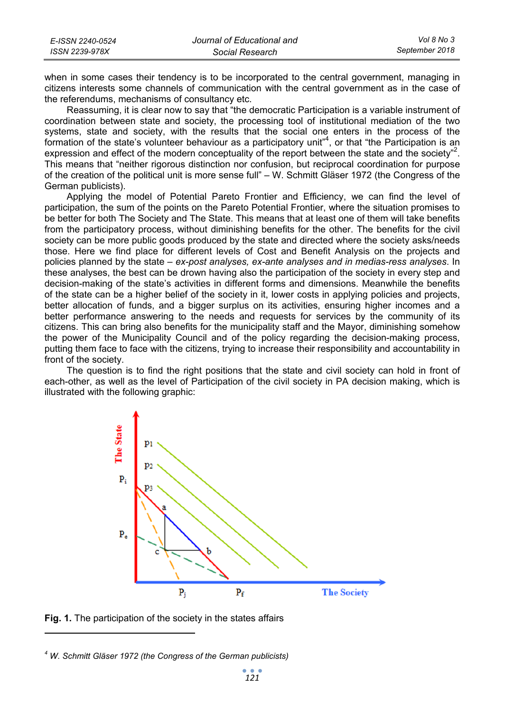| E-ISSN 2240-0524 | Journal of Educational and | Vol 8 No 3     |
|------------------|----------------------------|----------------|
| ISSN 2239-978X   | Social Research            | September 2018 |

when in some cases their tendency is to be incorporated to the central government, managing in citizens interests some channels of communication with the central government as in the case of the referendums, mechanisms of consultancy etc.

Reassuming, it is clear now to say that "the democratic Participation is a variable instrument of coordination between state and society, the processing tool of institutional mediation of the two systems, state and society, with the results that the social one enters in the process of the formation of the state's volunteer behaviour as a participatory unit"<sup>4</sup>, or that "the Participation is an expression and effect of the modern conceptuality of the report between the state and the society"<sup>2</sup>. This means that "neither rigorous distinction nor confusion, but reciprocal coordination for purpose of the creation of the political unit is more sense full" – W. Schmitt Gläser 1972 (the Congress of the German publicists).

Applying the model of Potential Pareto Frontier and Efficiency, we can find the level of participation, the sum of the points on the Pareto Potential Frontier, where the situation promises to be better for both The Society and The State. This means that at least one of them will take benefits from the participatory process, without diminishing benefits for the other. The benefits for the civil society can be more public goods produced by the state and directed where the society asks/needs those. Here we find place for different levels of Cost and Benefit Analysis on the projects and policies planned by the state – *ex-post analyses, ex-ante analyses and in medias-ress analyses*. In these analyses, the best can be drown having also the participation of the society in every step and decision-making of the state's activities in different forms and dimensions. Meanwhile the benefits of the state can be a higher belief of the society in it, lower costs in applying policies and projects, better allocation of funds, and a bigger surplus on its activities, ensuring higher incomes and a better performance answering to the needs and requests for services by the community of its citizens. This can bring also benefits for the municipality staff and the Mayor, diminishing somehow the power of the Municipality Council and of the policy regarding the decision-making process, putting them face to face with the citizens, trying to increase their responsibility and accountability in front of the society.

The question is to find the right positions that the state and civil society can hold in front of each-other, as well as the level of Participation of the civil society in PA decision making, which is illustrated with the following graphic:



**Fig. 1.** The participation of the society in the states affairs

 $\overline{a}$ 

*4 W. Schmitt Gläser 1972 (the Congress of the German publicists)*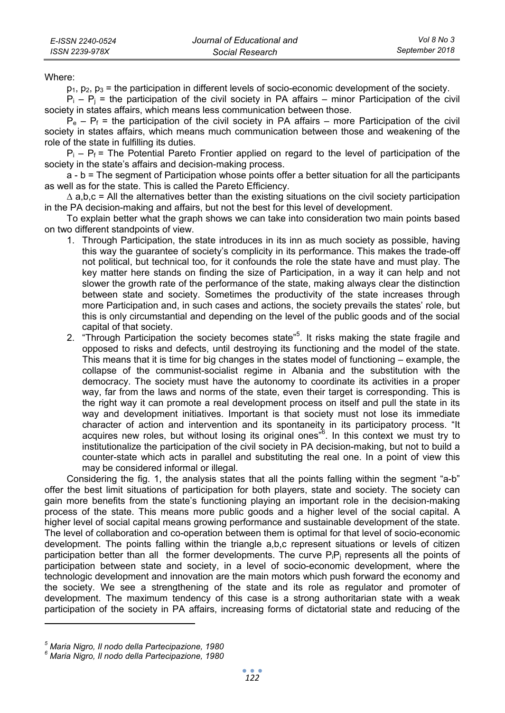Where:

 $p_1, p_2, p_3$  = the participation in different levels of socio-economic development of the society.

 $P_i - P_j$  = the participation of the civil society in PA affairs – minor Participation of the civil society in states affairs, which means less communication between those.

 $P_e - P_f$  = the participation of the civil society in PA affairs – more Participation of the civil society in states affairs, which means much communication between those and weakening of the role of the state in fulfilling its duties.

 $P_i - P_f$  = The Potential Pareto Frontier applied on regard to the level of participation of the society in the state's affairs and decision-making process.

a - b = The segment of Participation whose points offer a better situation for all the participants as well as for the state. This is called the Pareto Efficiency.

∆ a,b,c = All the alternatives better than the existing situations on the civil society participation in the PA decision-making and affairs, but not the best for this level of development.

To explain better what the graph shows we can take into consideration two main points based on two different standpoints of view.

- 1. Through Participation, the state introduces in its inn as much society as possible, having this way the guarantee of society's complicity in its performance. This makes the trade-off not political, but technical too, for it confounds the role the state have and must play. The key matter here stands on finding the size of Participation, in a way it can help and not slower the growth rate of the performance of the state, making always clear the distinction between state and society. Sometimes the productivity of the state increases through more Participation and, in such cases and actions, the society prevails the states' role, but this is only circumstantial and depending on the level of the public goods and of the social capital of that society.
- 2. "Through Participation the society becomes state"<sup>5</sup>. It risks making the state fragile and opposed to risks and defects, until destroying its functioning and the model of the state. This means that it is time for big changes in the states model of functioning – example, the collapse of the communist-socialist regime in Albania and the substitution with the democracy. The society must have the autonomy to coordinate its activities in a proper way, far from the laws and norms of the state, even their target is corresponding. This is the right way it can promote a real development process on itself and pull the state in its way and development initiatives. Important is that society must not lose its immediate character of action and intervention and its spontaneity in its participatory process. "It acquires new roles, but without losing its original ones<sup>36</sup>. In this context we must try to institutionalize the participation of the civil society in PA decision-making, but not to build a counter-state which acts in parallel and substituting the real one. In a point of view this may be considered informal or illegal.

Considering the fig. 1, the analysis states that all the points falling within the segment "a-b" offer the best limit situations of participation for both players, state and society. The society can gain more benefits from the state's functioning playing an important role in the decision-making process of the state. This means more public goods and a higher level of the social capital. A higher level of social capital means growing performance and sustainable development of the state. The level of collaboration and co-operation between them is optimal for that level of socio-economic development. The points falling within the triangle a,b,c represent situations or levels of citizen participation better than all the former developments. The curve  $P_iP_i$  represents all the points of participation between state and society, in a level of socio-economic development, where the technologic development and innovation are the main motors which push forward the economy and the society. We see a strengthening of the state and its role as regulator and promoter of development. The maximum tendency of this case is a strong authoritarian state with a weak participation of the society in PA affairs, increasing forms of dictatorial state and reducing of the

*<sup>5</sup> Maria Nigro, Il nodo della Partecipazione, 1980* 

*<sup>6</sup> Maria Nigro, Il nodo della Partecipazione, 1980*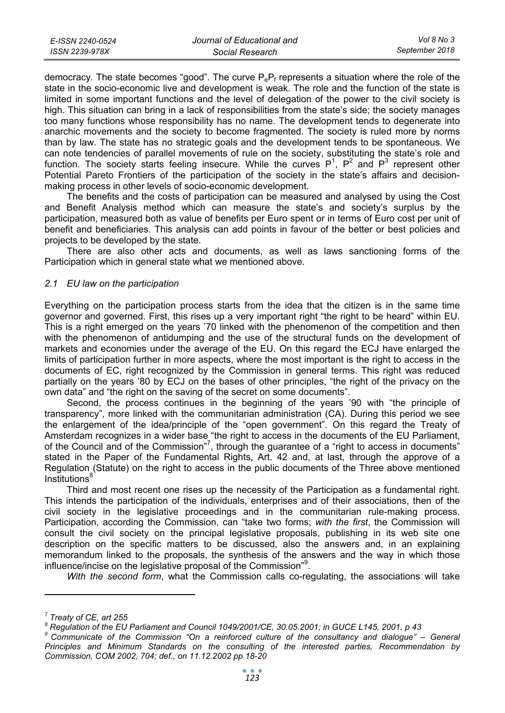| E-ISSN 2240-0524 | Journal of Educational and | Vol 8 No 3     |
|------------------|----------------------------|----------------|
| ISSN 2239-978X   | Social Research            | September 2018 |

democracy. The state becomes "good". The curve  $P_eP_f$  represents a situation where the role of the state in the socio-economic live and development is weak. The role and the function of the state is limited in some important functions and the level of delegation of the power to the civil society is high. This situation can bring in a lack of responsibilities from the state's side; the society manages too many functions whose responsibility has no name. The development tends to degenerate into anarchic movements and the society to become fragmented. The society is ruled more by norms than by law. The state has no strategic goals and the development tends to be spontaneous. We can note tendencies of parallel movements of rule on the society, substituting the state's role and function. The society starts feeling insecure. While the curves  $P^1$ ,  $P^2$  and  $P^3$  represent other Potential Pareto Frontiers of the participation of the society in the state's affairs and decisionmaking process in other levels of socio-economic development.

The benefits and the costs of participation can be measured and analysed by using the Cost and Benefit Analysis method which can measure the state's and society's surplus by the participation, measured both as value of benefits per Euro spent or in terms of Euro cost per unit of benefit and beneficiaries. This analysis can add points in favour of the better or best policies and projects to be developed by the state.

There are also other acts and documents, as well as laws sanctioning forms of the Participation which in general state what we mentioned above.

### *2.1 EU law on the participation*

Everything on the participation process starts from the idea that the citizen is in the same time governor and governed. First, this rises up a very important right "the right to be heard" within EU. This is a right emerged on the years '70 linked with the phenomenon of the competition and then with the phenomenon of antidumping and the use of the structural funds on the development of markets and economies under the average of the EU. On this regard the ECJ have enlarged the limits of participation further in more aspects, where the most important is the right to access in the documents of EC, right recognized by the Commission in general terms. This right was reduced partially on the years '80 by ECJ on the bases of other principles, "the right of the privacy on the own data" and "the right on the saving of the secret on some documents".

Second, the process continues in the beginning of the years '90 with "the principle of transparency", more linked with the communitarian administration (CA). During this period we see the enlargement of the idea/principle of the "open government". On this regard the Treaty of Amsterdam recognizes in a wider base "the right to access in the documents of the EU Parliament, of the Council and of the Commission"<sup>7</sup>, through the guarantee of a "right to access in documents" stated in the Paper of the Fundamental Rights, Art. 42 and, at last, through the approve of a Regulation (Statute) on the right to access in the public documents of the Three above mentioned Institutions<sup>8</sup>

Third and most recent one rises up the necessity of the Participation as a fundamental right. This intends the participation of the individuals, enterprises and of their associations, then of the civil society in the legislative proceedings and in the communitarian rule-making process. Participation, according the Commission, can "take two forms; *with the first*, the Commission will consult the civil society on the principal legislative proposals, publishing in its web site one description on the specific matters to be discussed, also the answers and, in an explaining memorandum linked to the proposals, the synthesis of the answers and the way in which those influence/incise on the legislative proposal of the Commission"<sup>9</sup>.

*With the second form*, what the Commission calls co-regulating, the associations will take

*<sup>7</sup> Treaty of CE, art 255* 

*<sup>8</sup> Regulation of the EU Parliament and Council 1049/2001/CE, 30.05.2001; in GUCE L145, 2001, p 43* 

*<sup>9</sup> Communicate of the Commission "On a reinforced culture of the consultancy and dialogue" – General Principles and Minimum Standards on the consulting of the interested parties, Recommendation by Commission, COM 2002, 704; def., on 11.12.2002 pp 18-20*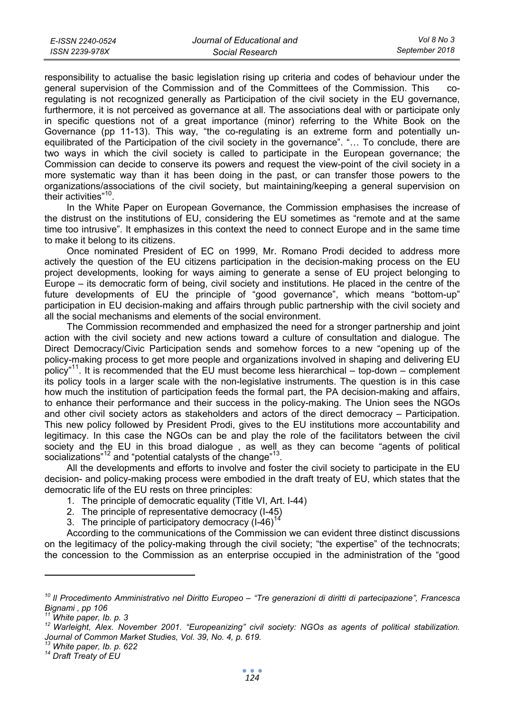| E-ISSN 2240-0524 | Journal of Educational and | Vol 8 No 3     |
|------------------|----------------------------|----------------|
| ISSN 2239-978X   | Social Research            | September 2018 |

responsibility to actualise the basic legislation rising up criteria and codes of behaviour under the general supervision of the Commission and of the Committees of the Commission. This coregulating is not recognized generally as Participation of the civil society in the EU governance, furthermore, it is not perceived as governance at all. The associations deal with or participate only in specific questions not of a great importance (minor) referring to the White Book on the Governance (pp 11-13). This way, "the co-regulating is an extreme form and potentially unequilibrated of the Participation of the civil society in the governance". "… To conclude, there are two ways in which the civil society is called to participate in the European governance; the Commission can decide to conserve its powers and request the view-point of the civil society in a more systematic way than it has been doing in the past, or can transfer those powers to the organizations/associations of the civil society, but maintaining/keeping a general supervision on their activities"10.

In the White Paper on European Governance, the Commission emphasises the increase of the distrust on the institutions of EU, considering the EU sometimes as "remote and at the same time too intrusive". It emphasizes in this context the need to connect Europe and in the same time to make it belong to its citizens.

Once nominated President of EC on 1999, Mr. Romano Prodi decided to address more actively the question of the EU citizens participation in the decision-making process on the EU project developments, looking for ways aiming to generate a sense of EU project belonging to Europe – its democratic form of being, civil society and institutions. He placed in the centre of the future developments of EU the principle of "good governance", which means "bottom-up" participation in EU decision-making and affairs through public partnership with the civil society and all the social mechanisms and elements of the social environment.

The Commission recommended and emphasized the need for a stronger partnership and joint action with the civil society and new actions toward a culture of consultation and dialogue. The Direct Democracy/Civic Participation sends and somehow forces to a new "opening up of the policy-making process to get more people and organizations involved in shaping and delivering EU policy"11. It is recommended that the EU must become less hierarchical – top-down – complement its policy tools in a larger scale with the non-legislative instruments. The question is in this case how much the institution of participation feeds the formal part, the PA decision-making and affairs, to enhance their performance and their success in the policy-making. The Union sees the NGOs and other civil society actors as stakeholders and actors of the direct democracy – Participation. This new policy followed by President Prodi, gives to the EU institutions more accountability and legitimacy. In this case the NGOs can be and play the role of the facilitators between the civil society and the EU in this broad dialogue , as well as they can become "agents of political socializations"<sup>12</sup> and "potential catalysts of the change"<sup>13</sup>.

All the developments and efforts to involve and foster the civil society to participate in the EU decision- and policy-making process were embodied in the draft treaty of EU, which states that the democratic life of the EU rests on three principles:

- 1. The principle of democratic equality (Title VI, Art. I-44)
- 2. The principle of representative democracy (I-45)
- 3. The principle of participatory democracy  $(1-46)^{14}$

According to the communications of the Commission we can evident three distinct discussions on the legitimacy of the policy-making through the civil society; "the expertise" of the technocrats; the concession to the Commission as an enterprise occupied in the administration of the "good

*<sup>10</sup> Il Procedimento Amministrativo nel Diritto Europeo – "Tre generazioni di diritti di partecipazione", Francesca Bignami , pp 106* 

<sup>&</sup>lt;sup>12</sup> Warleight, Alex. November 2001. "Europeanizing" civil society: NGOs as agents of political stabilization. *Journal of Common Market Studies, Vol. 39, No. 4, p. 619.* 

*<sup>13</sup> White paper, Ib. p. 622 14 Draft Treaty of EU*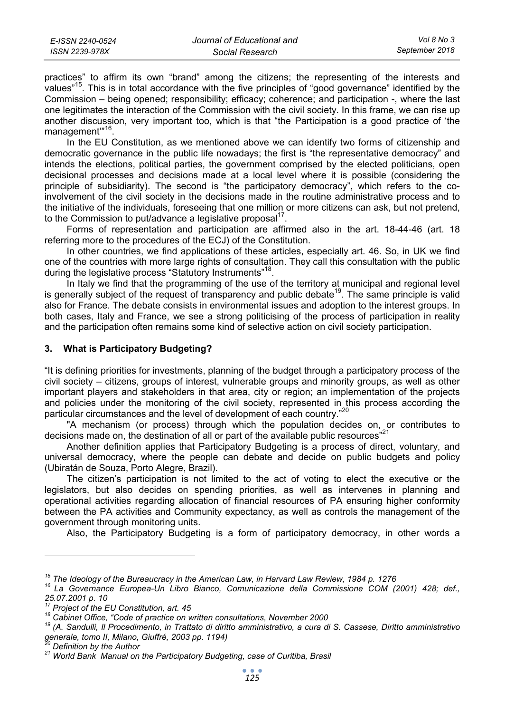practices" to affirm its own "brand" among the citizens; the representing of the interests and values"15. This is in total accordance with the five principles of "good governance" identified by the Commission – being opened; responsibility; efficacy; coherence; and participation -, where the last one legitimates the interaction of the Commission with the civil society. In this frame, we can rise up another discussion, very important too, which is that "the Participation is a good practice of 'the management"<sup>16</sup>.

In the EU Constitution, as we mentioned above we can identify two forms of citizenship and democratic governance in the public life nowadays; the first is "the representative democracy" and intends the elections, political parties, the government comprised by the elected politicians, open decisional processes and decisions made at a local level where it is possible (considering the principle of subsidiarity). The second is "the participatory democracy", which refers to the coinvolvement of the civil society in the decisions made in the routine administrative process and to the initiative of the individuals, foreseeing that one million or more citizens can ask, but not pretend, to the Commission to put/advance a legislative proposal $17$ .

Forms of representation and participation are affirmed also in the art. 18-44-46 (art. 18 referring more to the procedures of the ECJ) of the Constitution.

In other countries, we find applications of these articles, especially art. 46. So, in UK we find one of the countries with more large rights of consultation. They call this consultation with the public during the legislative process "Statutory Instruments"<sup>18</sup>.

In Italy we find that the programming of the use of the territory at municipal and regional level is generally subject of the request of transparency and public debate<sup>19</sup>. The same principle is valid also for France. The debate consists in environmental issues and adoption to the interest groups. In both cases, Italy and France, we see a strong politicising of the process of participation in reality and the participation often remains some kind of selective action on civil society participation.

### **3. What is Participatory Budgeting?**

"It is defining priorities for investments, planning of the budget through a participatory process of the civil society – citizens, groups of interest, vulnerable groups and minority groups, as well as other important players and stakeholders in that area, city or region; an implementation of the projects and policies under the monitoring of the civil society, represented in this process according the particular circumstances and the level of development of each country."20

"A mechanism (or process) through which the population decides on, or contributes to decisions made on, the destination of all or part of the available public resources"<sup>21</sup>

Another definition applies that Participatory Budgeting is a process of direct, voluntary, and universal democracy, where the people can debate and decide on public budgets and policy (Ubiratán de Souza, Porto Alegre, Brazil).

The citizen's participation is not limited to the act of voting to elect the executive or the legislators, but also decides on spending priorities, as well as intervenes in planning and operational activities regarding allocation of financial resources of PA ensuring higher conformity between the PA activities and Community expectancy, as well as controls the management of the government through monitoring units.

Also, the Participatory Budgeting is a form of participatory democracy, in other words a

<sup>&</sup>lt;sup>15</sup> The Ideology of the Bureaucracy in the American Law, in Harvard Law Review, 1984 p. 1276<br><sup>16</sup> La Governance *Europea-Un Libro Bianco, Comunicazione della Commissione COM (2001) 428; def., 25.07.2001 p. 10* 

<sup>&</sup>lt;sup>18</sup> Cabinet Office, "Code of practice on written consultations, November 2000<br><sup>19</sup> (A. Sandulli, Il Procedimento, in Trattato di diritto amministrativo, a cura di S. Cassese, Diritto amministrativo *generale, tomo II, Milano, Giuffré, 2003 pp. 1194)* 

<sup>&</sup>lt;sup>21</sup> World Bank Manual on the Participatory Budgeting, case of Curitiba, Brasil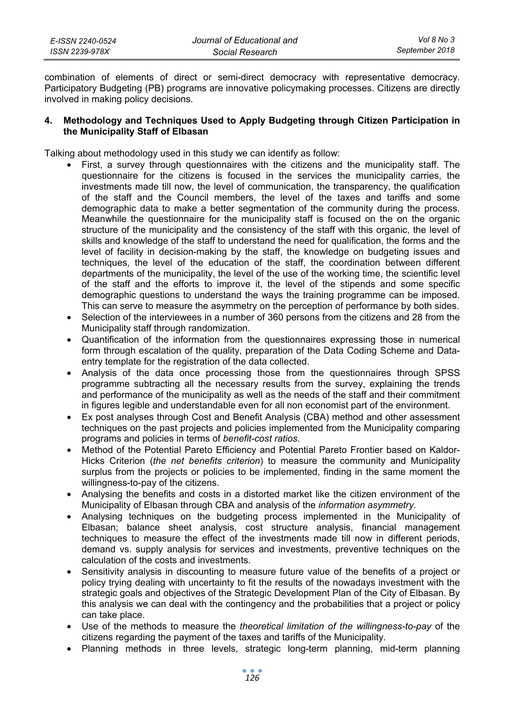| E-ISSN 2240-0524 | Journal of Educational and | Vol 8 No 3     |
|------------------|----------------------------|----------------|
| ISSN 2239-978X   | Social Research            | September 2018 |

combination of elements of direct or semi-direct democracy with representative democracy. Participatory Budgeting (PB) programs are innovative policymaking processes. Citizens are directly involved in making policy decisions.

### **4. Methodology and Techniques Used to Apply Budgeting through Citizen Participation in the Municipality Staff of Elbasan**

Talking about methodology used in this study we can identify as follow:

- First, a survey through questionnaires with the citizens and the municipality staff. The questionnaire for the citizens is focused in the services the municipality carries, the investments made till now, the level of communication, the transparency, the qualification of the staff and the Council members, the level of the taxes and tariffs and some demographic data to make a better segmentation of the community during the process. Meanwhile the questionnaire for the municipality staff is focused on the on the organic structure of the municipality and the consistency of the staff with this organic, the level of skills and knowledge of the staff to understand the need for qualification, the forms and the level of facility in decision-making by the staff, the knowledge on budgeting issues and techniques, the level of the education of the staff, the coordination between different departments of the municipality, the level of the use of the working time, the scientific level of the staff and the efforts to improve it, the level of the stipends and some specific demographic questions to understand the ways the training programme can be imposed. This can serve to measure the asymmetry on the perception of performance by both sides.
- Selection of the interviewees in a number of 360 persons from the citizens and 28 from the Municipality staff through randomization.
- Quantification of the information from the questionnaires expressing those in numerical form through escalation of the quality, preparation of the Data Coding Scheme and Dataentry template for the registration of the data collected.
- Analysis of the data once processing those from the questionnaires through SPSS programme subtracting all the necessary results from the survey, explaining the trends and performance of the municipality as well as the needs of the staff and their commitment in figures legible and understandable even for all non economist part of the environment.
- Ex post analyses through Cost and Benefit Analysis (CBA) method and other assessment techniques on the past projects and policies implemented from the Municipality comparing programs and policies in terms of *benefit-cost ratios*.
- Method of the Potential Pareto Efficiency and Potential Pareto Frontier based on Kaldor-Hicks Criterion (*the net benefits criterion*) to measure the community and Municipality surplus from the projects or policies to be implemented, finding in the same moment the willingness-to-pay of the citizens.
- Analysing the benefits and costs in a distorted market like the citizen environment of the Municipality of Elbasan through CBA and analysis of the *information asymmetry*.
- Analysing techniques on the budgeting process implemented in the Municipality of Elbasan; balance sheet analysis, cost structure analysis, financial management techniques to measure the effect of the investments made till now in different periods, demand vs. supply analysis for services and investments, preventive techniques on the calculation of the costs and investments.
- Sensitivity analysis in discounting to measure future value of the benefits of a project or policy trying dealing with uncertainty to fit the results of the nowadays investment with the strategic goals and objectives of the Strategic Development Plan of the City of Elbasan. By this analysis we can deal with the contingency and the probabilities that a project or policy can take place.
- Use of the methods to measure the *theoretical limitation of the willingness-to-pay* of the citizens regarding the payment of the taxes and tariffs of the Municipality.
- Planning methods in three levels, strategic long-term planning, mid-term planning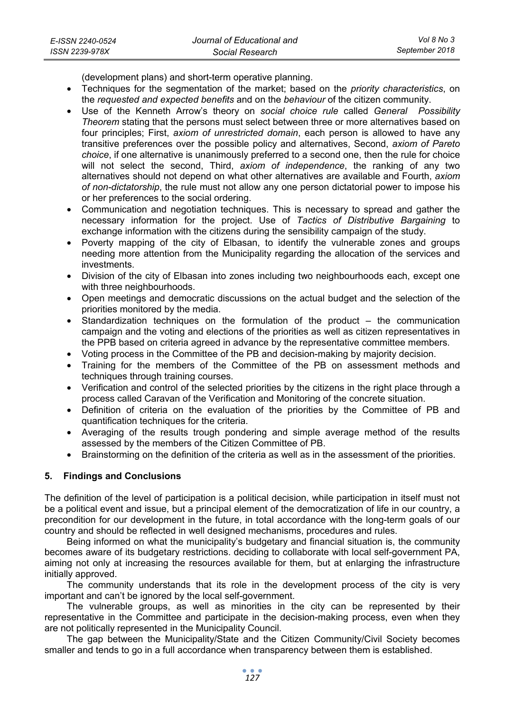(development plans) and short-term operative planning.

- Techniques for the segmentation of the market; based on the *priority characteristics*, on the *requested and expected benefits* and on the *behaviour* of the citizen community.
- Use of the Kenneth Arrow's theory on *social choice rule* called *General Possibility Theorem* stating that the persons must select between three or more alternatives based on four principles; First, *axiom of unrestricted domain*, each person is allowed to have any transitive preferences over the possible policy and alternatives, Second, *axiom of Pareto choice*, if one alternative is unanimously preferred to a second one, then the rule for choice will not select the second, Third, *axiom of independence*, the ranking of any two alternatives should not depend on what other alternatives are available and Fourth, *axiom of non-dictatorship*, the rule must not allow any one person dictatorial power to impose his or her preferences to the social ordering.
- Communication and negotiation techniques. This is necessary to spread and gather the necessary information for the project. Use of *Tactics of Distributive Bargaining* to exchange information with the citizens during the sensibility campaign of the study.
- Poverty mapping of the city of Elbasan, to identify the vulnerable zones and groups needing more attention from the Municipality regarding the allocation of the services and investments.
- Division of the city of Elbasan into zones including two neighbourhoods each, except one with three neighbourhoods.
- Open meetings and democratic discussions on the actual budget and the selection of the priorities monitored by the media.
- Standardization techniques on the formulation of the product  $-$  the communication campaign and the voting and elections of the priorities as well as citizen representatives in the PPB based on criteria agreed in advance by the representative committee members.
- Voting process in the Committee of the PB and decision-making by majority decision.
- Training for the members of the Committee of the PB on assessment methods and techniques through training courses.
- Verification and control of the selected priorities by the citizens in the right place through a process called Caravan of the Verification and Monitoring of the concrete situation.
- Definition of criteria on the evaluation of the priorities by the Committee of PB and quantification techniques for the criteria.
- Averaging of the results trough pondering and simple average method of the results assessed by the members of the Citizen Committee of PB.
- Brainstorming on the definition of the criteria as well as in the assessment of the priorities.

## **5. Findings and Conclusions**

The definition of the level of participation is a political decision, while participation in itself must not be a political event and issue, but a principal element of the democratization of life in our country, a precondition for our development in the future, in total accordance with the long-term goals of our country and should be reflected in well designed mechanisms, procedures and rules.

Being informed on what the municipality's budgetary and financial situation is, the community becomes aware of its budgetary restrictions. deciding to collaborate with local self-government PA, aiming not only at increasing the resources available for them, but at enlarging the infrastructure initially approved.

The community understands that its role in the development process of the city is very important and can't be ignored by the local self-government.

The vulnerable groups, as well as minorities in the city can be represented by their representative in the Committee and participate in the decision-making process, even when they are not politically represented in the Municipality Council.

The gap between the Municipality/State and the Citizen Community/Civil Society becomes smaller and tends to go in a full accordance when transparency between them is established.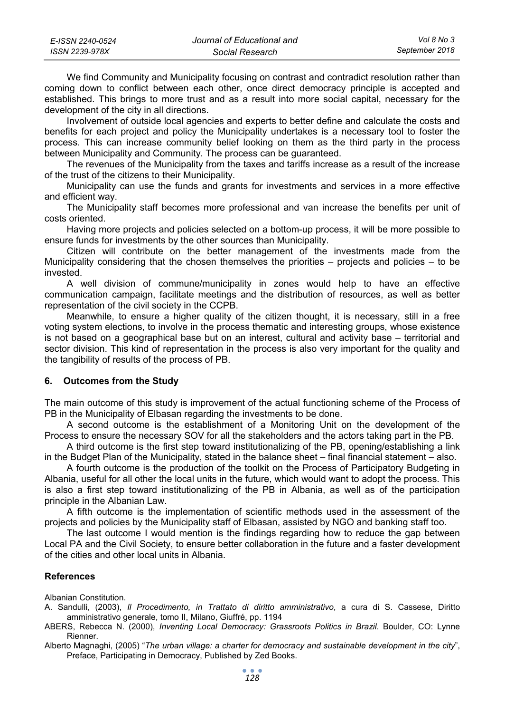| E-ISSN 2240-0524 | Journal of Educational and | Vol 8 No 3     |
|------------------|----------------------------|----------------|
| ISSN 2239-978X   | Social Research            | September 2018 |

We find Community and Municipality focusing on contrast and contradict resolution rather than coming down to conflict between each other, once direct democracy principle is accepted and established. This brings to more trust and as a result into more social capital, necessary for the development of the city in all directions.

Involvement of outside local agencies and experts to better define and calculate the costs and benefits for each project and policy the Municipality undertakes is a necessary tool to foster the process. This can increase community belief looking on them as the third party in the process between Municipality and Community. The process can be guaranteed.

The revenues of the Municipality from the taxes and tariffs increase as a result of the increase of the trust of the citizens to their Municipality.

Municipality can use the funds and grants for investments and services in a more effective and efficient way.

The Municipality staff becomes more professional and van increase the benefits per unit of costs oriented.

Having more projects and policies selected on a bottom-up process, it will be more possible to ensure funds for investments by the other sources than Municipality.

Citizen will contribute on the better management of the investments made from the Municipality considering that the chosen themselves the priorities – projects and policies – to be invested.

A well division of commune/municipality in zones would help to have an effective communication campaign, facilitate meetings and the distribution of resources, as well as better representation of the civil society in the CCPB.

Meanwhile, to ensure a higher quality of the citizen thought, it is necessary, still in a free voting system elections, to involve in the process thematic and interesting groups, whose existence is not based on a geographical base but on an interest, cultural and activity base – territorial and sector division. This kind of representation in the process is also very important for the quality and the tangibility of results of the process of PB.

#### **6. Outcomes from the Study**

The main outcome of this study is improvement of the actual functioning scheme of the Process of PB in the Municipality of Elbasan regarding the investments to be done.

A second outcome is the establishment of a Monitoring Unit on the development of the Process to ensure the necessary SOV for all the stakeholders and the actors taking part in the PB.

A third outcome is the first step toward institutionalizing of the PB, opening/establishing a link in the Budget Plan of the Municipality, stated in the balance sheet – final financial statement – also.

A fourth outcome is the production of the toolkit on the Process of Participatory Budgeting in Albania, useful for all other the local units in the future, which would want to adopt the process. This is also a first step toward institutionalizing of the PB in Albania, as well as of the participation principle in the Albanian Law.

A fifth outcome is the implementation of scientific methods used in the assessment of the projects and policies by the Municipality staff of Elbasan, assisted by NGO and banking staff too.

The last outcome I would mention is the findings regarding how to reduce the gap between Local PA and the Civil Society, to ensure better collaboration in the future and a faster development of the cities and other local units in Albania.

#### **References**

Albanian Constitution.

- A. Sandulli, (2003), *Il Procedimento, in Trattato di diritto amministrativo*, a cura di S. Cassese, Diritto amministrativo generale, tomo II, Milano, Giuffré, pp. 1194
- ABERS, Rebecca N. (2000), *Inventing Local Democracy: Grassroots Politics in Brazil*. Boulder, CO: Lynne Rienner.
- Alberto Magnaghi, (2005) "*The urban village: a charter for democracy and sustainable development in the city*", Preface, Participating in Democracy, Published by Zed Books.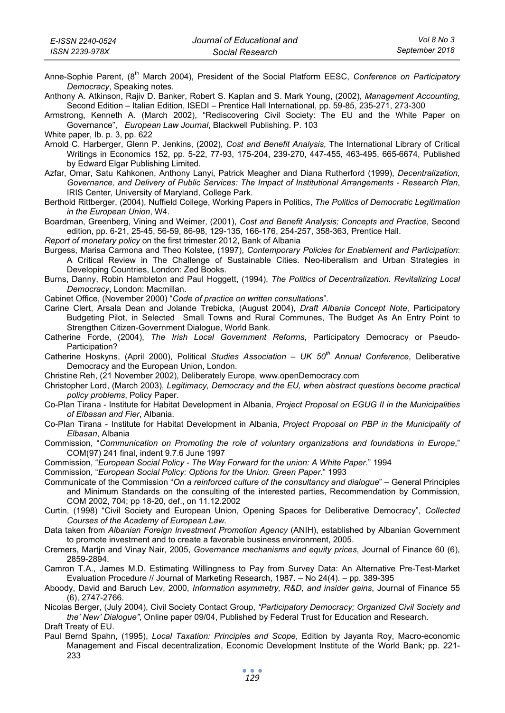Anne-Sophie Parent, (8<sup>th</sup> March 2004), President of the Social Platform EESC, *Conference on Participatory Democracy*, Speaking notes.

Anthony A. Atkinson, Rajiv D. Banker, Robert S. Kaplan and S. Mark Young, (2002), *Management Accounting*, Second Edition – Italian Edition, ISEDI – Prentice Hall International, pp. 59-85, 235-271, 273-300

Armstrong, Kenneth A. (March 2002), "Rediscovering Civil Society: The EU and the White Paper on Governance", *European Law Journal*, Blackwell Publishing. P. 103

Arnold C. Harberger, Glenn P. Jenkins, (2002), *Cost and Benefit Analysis*, The International Library of Critical Writings in Economics 152, pp. 5-22, 77-93, 175-204, 239-270, 447-455, 463-495, 665-6674, Published by Edward Elgar Publishing Limited.

Azfar, Omar, Satu Kahkonen, Anthony Lanyi, Patrick Meagher and Diana Rutherford (1999), *Decentralization, Governance, and Delivery of Public Services: The Impact of Institutional Arrangements - Research Plan*, IRIS Center, University of Maryland, College Park.

Berthold Rittberger, (2004), Nuffield College, Working Papers in Politics, *The Politics of Democratic Legitimation in the European Union*, W4.

Boardman, Greenberg, Vining and Weimer, (2001), *Cost and Benefit Analysis; Concepts and Practice*, Second edition, pp. 6-21, 25-45, 56-59, 86-98, 129-135, 166-176, 254-257, 358-363, Prentice Hall.

*Report of monetary policy* on the first trimester 2012, Bank of Albania

Burgess, Marisa Carmona and Theo Kolstee, (1997), *Contemporary Policies for Enablement and Participation*: A Critical Review in The Challenge of Sustainable Cities. Neo-liberalism and Urban Strategies in Developing Countries, London: Zed Books.

Burns, Danny, Robin Hambleton and Paul Hoggett, (1994), *The Politics of Decentralization. Revitalizing Local Democracy*, London: Macmillan.

Cabinet Office, (November 2000) "*Code of practice on written consultations*".

Carine Clert, Arsala Dean and Jolande Trebicka, (August 2004), *Draft Albania Concept Note*, Participatory Budgeting Pilot, in Selected Small Towns and Rural Communes, The Budget As An Entry Point to Strengthen Citizen-Government Dialogue, World Bank.

Catherine Forde, (2004), *The Irish Local Government Reforms*, Participatory Democracy or Pseudo-Participation?

Catherine Hoskyns, (April 2000), Political *Studies Association – UK 50th Annual Conference*, Deliberative Democracy and the European Union, London.

Christine Reh, (21 November 2002), Deliberately Europe, www.openDemocracy.com

Christopher Lord, (March 2003), *Legitimacy, Democracy and the EU, when abstract questions become practical policy problems*, Policy Paper.

Co-Plan Tirana - Institute for Habitat Development in Albania, *Project Proposal on EGUG II in the Municipalities of Elbasan and Fier*, Albania.

Co-Plan Tirana - Institute for Habitat Development in Albania, *Project Proposal on PBP in the Municipality of Elbasan*, Albania

Commission, "*Communication on Promoting the role of voluntary organizations and foundations in Europe*," COM(97) 241 final, indent 9.7.6 June 1997

Commission, "*European Social Policy - The Way Forward for the union: A White Paper.*" 1994

Commission, "*European Social Policy: Options for the Union. Green Paper*." 1993

Communicate of the Commission "*On a reinforced culture of the consultancy and dialogue*" – General Principles and Minimum Standards on the consulting of the interested parties, Recommendation by Commission, COM 2002, 704; pp 18-20, def., on 11.12.2002

Curtin, (1998) "Civil Society and European Union, Opening Spaces for Deliberative Democracy", *Collected Courses of the Academy of European Law*.

Data taken from *Albanian Foreign Investment Promotion Agency* (ANIH), established by Albanian Government to promote investment and to create a favorable business environment, 2005.

Cremers, Martjn and Vinay Nair, 2005, *Governance mechanisms and equity prices*, Journal of Finance 60 (6), 2859-2894.

Camron T.A., James M.D. Estimating Willingness to Pay from Survey Data: An Alternative Pre-Test-Market Evaluation Procedure // Journal of Marketing Research, 1987. – No 24(4). – pp. 389-395

Aboody, David and Baruch Lev, 2000, *Information asymmetry, R&D, and insider gains*, Journal of Finance 55 (6), 2747-2766.

Nicolas Berger, (July 2004), Civil Society Contact Group, *"Participatory Democracy; Organized Civil Society and the' New' Dialogue"*, Online paper 09/04, Published by Federal Trust for Education and Research. Draft Treaty of EU.

Paul Bernd Spahn, (1995), *Local Taxation: Principles and Scope*, Edition by Jayanta Roy, Macro-economic Management and Fiscal decentralization, Economic Development Institute of the World Bank; pp. 221- 233

White paper, Ib. p. 3, pp. 622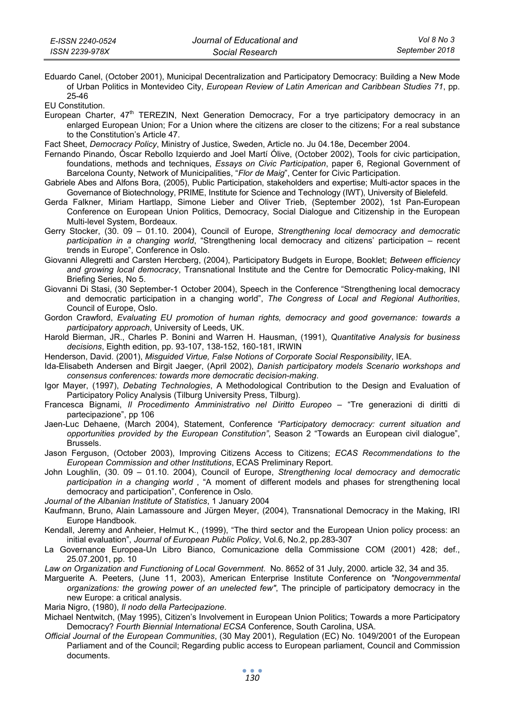Eduardo Canel, (October 2001), Municipal Decentralization and Participatory Democracy: Building a New Mode of Urban Politics in Montevideo City, *European Review of Latin American and Caribbean Studies 71*, pp. 25-46

EU Constitution.

European Charter, 47<sup>th</sup> TEREZIN, Next Generation Democracy, For a trye participatory democracy in an enlarged European Union; For a Union where the citizens are closer to the citizens; For a real substance to the Constitution's Article 47.

Fact Sheet, *Democracy Policy*, Ministry of Justice, Sweden, Article no. Ju 04.18e, December 2004.

- Fernando Pinando, Óscar Rebollo Izquierdo and Joel Martí Ólive, (October 2002), Tools for civic participation, foundations, methods and techniques, *Essays on Civic Participation*, paper 6, Regional Government of Barcelona County, Network of Municipalities, "*Flor de Maig*", Center for Civic Participation.
- Gabriele Abes and Alfons Bora, (2005), Public Participation, stakeholders and expertise; Multi-actor spaces in the Governance of Biotechnology, PRIME, Institute for Science and Technology (IWT), University of Bielefeld.
- Gerda Falkner, Miriam Hartlapp, Simone Lieber and Oliver Trieb, (September 2002), 1st Pan-European Conference on European Union Politics, Democracy, Social Dialogue and Citizenship in the European Multi-level System, Bordeaux.
- Gerry Stocker, (30. 09 01.10. 2004), Council of Europe, *Strengthening local democracy and democratic participation in a changing world*, "Strengthening local democracy and citizens' participation – recent trends in Europe", Conference in Oslo.
- Giovanni Allegretti and Carsten Hercberg, (2004), Participatory Budgets in Europe, Booklet; *Between efficiency and growing local democracy*, Transnational Institute and the Centre for Democratic Policy-making, INI Briefing Series, No 5.
- Giovanni Di Stasi, (30 September-1 October 2004), Speech in the Conference "Strengthening local democracy and democratic participation in a changing world", *The Congress of Local and Regional Authorities*, Council of Europe, Oslo.
- Gordon Crawford, *Evaluating EU promotion of human rights, democracy and good governance: towards a participatory approach*, University of Leeds, UK.
- Harold Bierman, JR., Charles P. Bonini and Warren H. Hausman, (1991), *Quantitative Analysis for business decisions*, Eighth edition, pp. 93-107, 138-152, 160-181, IRWIN
- Henderson, David. (2001), *Misguided Virtue, False Notions of Corporate Social Responsibility*, IEA.
- Ida-Elisabeth Andersen and Birgit Jaeger, (April 2002), *Danish participatory models Scenario workshops and consensus conferences: towards more democratic decision-making*.
- Igor Mayer, (1997), *Debating Technologies*, A Methodological Contribution to the Design and Evaluation of Participatory Policy Analysis (Tilburg University Press, Tilburg).
- Francesca Bignami, *Il Procedimento Amministrativo nel Diritto Europeo* "Tre generazioni di diritti di partecipazione", pp 106
- Jaen-Luc Dehaene, (March 2004), Statement, Conference *"Participatory democracy: current situation and opportunities provided by the European Constitution"*, Season 2 "Towards an European civil dialogue", Brussels.
- Jason Ferguson, (October 2003), Improving Citizens Access to Citizens; *ECAS Recommendations to the European Commission and other Institutions*, ECAS Preliminary Report.
- John Loughlin, (30. 09 01.10. 2004), Council of Europe, *Strengthening local democracy and democratic participation in a changing world* , "A moment of different models and phases for strengthening local democracy and participation", Conference in Oslo.

*Journal of the Albanian Institute of Statistics*, 1 January 2004

- Kaufmann, Bruno, Alain Lamassoure and Jürgen Meyer, (2004), Transnational Democracy in the Making, IRI Europe Handbook.
- Kendall, Jeremy and Anheier, Helmut K., (1999), "The third sector and the European Union policy process: an initial evaluation", *Journal of European Public Policy*, Vol.6, No.2, pp.283-307
- La Governance Europea-Un Libro Bianco, Comunicazione della Commissione COM (2001) 428; def., 25.07.2001, pp. 10
- *Law on Organization and Functioning of Local Government*. No. 8652 of 31 July, 2000. article 32, 34 and 35.
- Marguerite A. Peeters, (June 11, 2003), American Enterprise Institute Conference on *"Nongovernmental organizations: the growing power of an unelected few"*, The principle of participatory democracy in the new Europe: a critical analysis.
- Maria Nigro, (1980), *Il nodo della Partecipazione*.
- Michael Nentwitch, (May 1995), Citizen's Involvement in European Union Politics; Towards a more Participatory Democracy? *Fourth Biennial International ECSA* Conference, South Carolina, USA.
- *Official Journal of the European Communities*, (30 May 2001), Regulation (EC) No. 1049/2001 of the European Parliament and of the Council; Regarding public access to European parliament, Council and Commission documents.